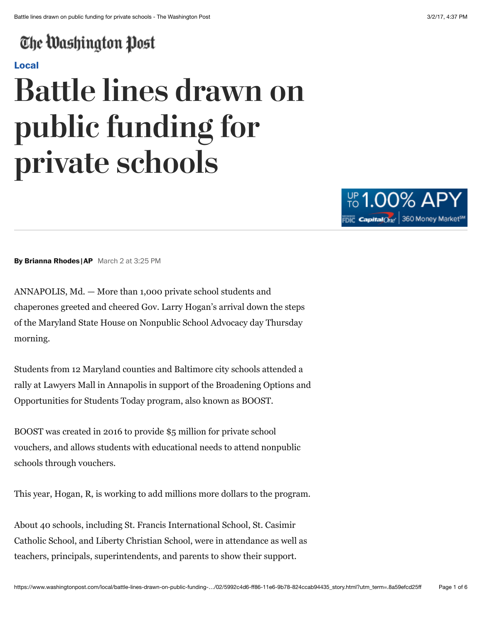## The Washington Post

#### **Local**

# **Battle lines drawn on public funding for private schools**



**By Brianna Rhodes |AP** March 2 at 3:25 PM

ANNAPOLIS, Md. — More than 1,000 private school students and chaperones greeted and cheered Gov. Larry Hogan's arrival down the steps of the Maryland State House on Nonpublic School Advocacy day Thursday morning.

Students from 12 Maryland counties and Baltimore city schools attended a rally at Lawyers Mall in Annapolis in support of the Broadening Options and Opportunities for Students Today program, also known as BOOST.

BOOST was created in 2016 to provide \$5 million for private school vouchers, and allows students with educational needs to attend nonpublic schools through vouchers.

This year, Hogan, R, is working to add millions more dollars to the program.

About 40 schools, including St. Francis International School, St. Casimir Catholic School, and Liberty Christian School, were in attendance as well as teachers, principals, superintendents, and parents to show their support.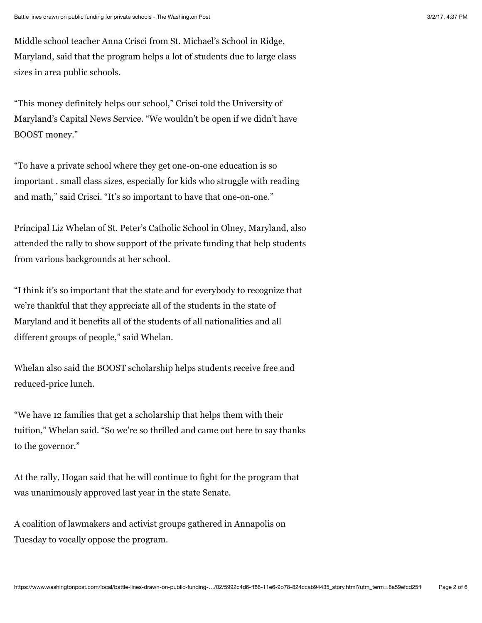Middle school teacher Anna Crisci from St. Michael's School in Ridge, Maryland, said that the program helps a lot of students due to large class sizes in area public schools.

"This money definitely helps our school," Crisci told the University of Maryland's Capital News Service. "We wouldn't be open if we didn't have BOOST money."

"To have a private school where they get one-on-one education is so important . small class sizes, especially for kids who struggle with reading and math," said Crisci. "It's so important to have that one-on-one."

Principal Liz Whelan of St. Peter's Catholic School in Olney, Maryland, also attended the rally to show support of the private funding that help students from various backgrounds at her school.

"I think it's so important that the state and for everybody to recognize that we're thankful that they appreciate all of the students in the state of Maryland and it benefits all of the students of all nationalities and all different groups of people," said Whelan.

Whelan also said the BOOST scholarship helps students receive free and reduced-price lunch.

"We have 12 families that get a scholarship that helps them with their tuition," Whelan said. "So we're so thrilled and came out here to say thanks to the governor."

At the rally, Hogan said that he will continue to fight for the program that was unanimously approved last year in the state Senate.

A coalition of lawmakers and activist groups gathered in Annapolis on Tuesday to vocally oppose the program.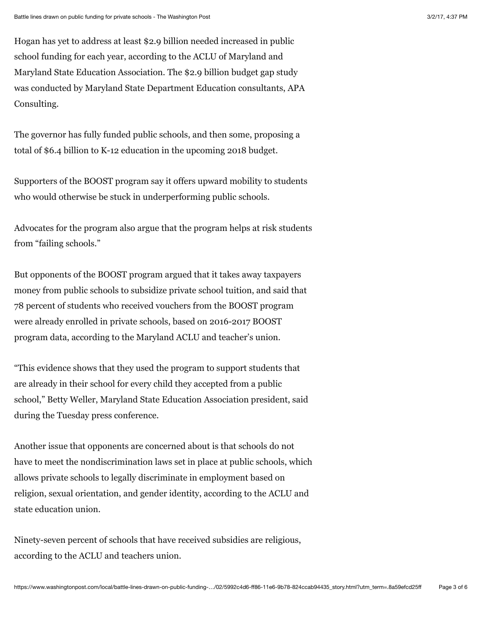Hogan has yet to address at least \$2.9 billion needed increased in public school funding for each year, according to the ACLU of Maryland and Maryland State Education Association. The \$2.9 billion budget gap study was conducted by Maryland State Department Education consultants, APA Consulting.

The governor has fully funded public schools, and then some, proposing a total of \$6.4 billion to K-12 education in the upcoming 2018 budget.

Supporters of the BOOST program say it offers upward mobility to students who would otherwise be stuck in underperforming public schools.

Advocates for the program also argue that the program helps at risk students from "failing schools."

But opponents of the BOOST program argued that it takes away taxpayers money from public schools to subsidize private school tuition, and said that 78 percent of students who received vouchers from the BOOST program were already enrolled in private schools, based on 2016-2017 BOOST program data, according to the Maryland ACLU and teacher's union.

"This evidence shows that they used the program to support students that are already in their school for every child they accepted from a public school," Betty Weller, Maryland State Education Association president, said during the Tuesday press conference.

Another issue that opponents are concerned about is that schools do not have to meet the nondiscrimination laws set in place at public schools, which allows private schools to legally discriminate in employment based on religion, sexual orientation, and gender identity, according to the ACLU and state education union.

Ninety-seven percent of schools that have received subsidies are religious, according to the ACLU and teachers union.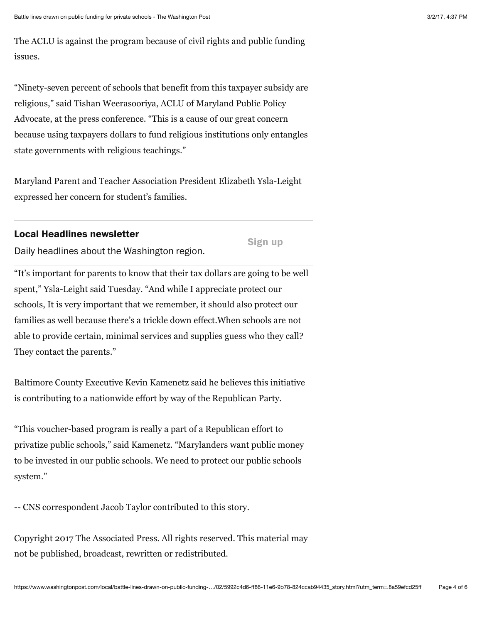The ACLU is against the program because of civil rights and public funding issues.

"Ninety-seven percent of schools that benefit from this taxpayer subsidy are religious," said Tishan Weerasooriya, ACLU of Maryland Public Policy Advocate, at the press conference. "This is a cause of our great concern because using taxpayers dollars to fund religious institutions only entangles state governments with religious teachings."

Maryland Parent and Teacher Association President Elizabeth Ysla-Leight expressed her concern for student's families.

#### **Local Headlines newsletter**

**Sign up**

Daily headlines about the Washington region.

"It's important for parents to know that their tax dollars are going to be well spent," Ysla-Leight said Tuesday. "And while I appreciate protect our schools, It is very important that we remember, it should also protect our families as well because there's a trickle down effect.When schools are not able to provide certain, minimal services and supplies guess who they call? They contact the parents."

Baltimore County Executive Kevin Kamenetz said he believes this initiative is contributing to a nationwide effort by way of the Republican Party.

"This voucher-based program is really a part of a Republican effort to privatize public schools," said Kamenetz. "Marylanders want public money to be invested in our public schools. We need to protect our public schools system."

-- CNS correspondent Jacob Taylor contributed to this story.

Copyright 2017 The Associated Press. All rights reserved. This material may not be published, broadcast, rewritten or redistributed.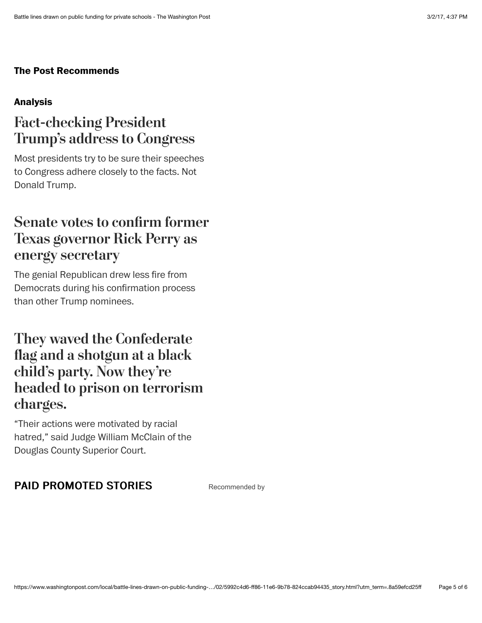#### **The Post Recommends**

#### **Analysis**

## **Fact-checking President Trump's address to Congress**

Most presidents try to be sure their speeches to Congress adhere closely to the facts. Not Donald Trump.

## **Senate votes to confrm former Texas governor Rick Perry as energy secretary**

The genial Republican drew less fire from Democrats during his confirmation process than other Trump nominees.

## **They waved the Confederate fag and a shotgun at a black child's party. Now they're headed to prison on terrorism charges.**

"Their actions were motivated by racial hatred," said Judge William McClain of the Douglas County Superior Court.

#### PAID PROMOTED STORIES Recommended by